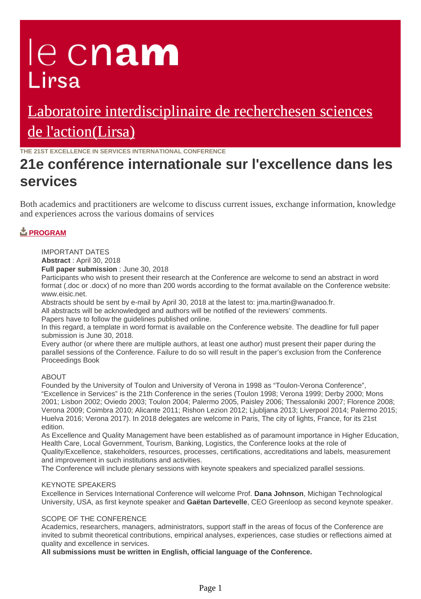# le cnam Lirsa

# [Laboratoire interdisciplinaire de recherchesen sciences](https://lirsa.cnam.fr/) de l'action(Lirsa)

**THE 21ST EXCELLENCE IN SERVICES INTERNATIONAL CONFERENCE**

# **21e conférence internationale sur l'excellence dans les services**

Both academics and practitioners are welcome to discuss current issues, exchange information, knowledge and experiences across the various domains of services

## **[PROGRAM](https://lirsa.cnam.fr/medias/fichier/programme-full_1535619203107-pdf?ID_FICHE=1022005&INLINE=FALSE)**

IMPORTANT DATES

**Abstract** : April 30, 2018

**Full paper submission** : June 30, 2018

Participants who wish to present their research at the Conference are welcome to send an abstract in word format (.doc or .docx) of no more than 200 words according to the format available on the Conference website: www.eisic.net.

Abstracts should be sent by e-mail by April 30, 2018 at the latest to: jma.martin@wanadoo.fr.

All abstracts will be acknowledged and authors will be notified of the reviewers' comments.

Papers have to follow the guidelines published online.

In this regard, a template in word format is available on the Conference website. The deadline for full paper submission is June 30, 2018.

Every author (or where there are multiple authors, at least one author) must present their paper during the parallel sessions of the Conference. Failure to do so will result in the paper's exclusion from the Conference Proceedings Book

### ABOUT

Founded by the University of Toulon and University of Verona in 1998 as "Toulon-Verona Conference", "Excellence in Services" is the 21th Conference in the series (Toulon 1998; Verona 1999; Derby 2000; Mons 2001; Lisbon 2002; Oviedo 2003; Toulon 2004; Palermo 2005, Paisley 2006; Thessaloniki 2007; Florence 2008; Verona 2009; Coimbra 2010; Alicante 2011; Rishon Lezion 2012; Ljubljana 2013; Liverpool 2014; Palermo 2015; Huelva 2016; Verona 2017). In 2018 delegates are welcome in Paris, The city of lights, France, for its 21st edition.

As Excellence and Quality Management have been established as of paramount importance in Higher Education, Health Care, Local Government, Tourism, Banking, Logistics, the Conference looks at the role of Quality/Excellence, stakeholders, resources, processes, certifications, accreditations and labels, measurement and improvement in such institutions and activities.

The Conference will include plenary sessions with keynote speakers and specialized parallel sessions.

#### KEYNOTE SPEAKERS

Excellence in Services International Conference will welcome Prof. **Dana Johnson**, Michigan Technological University, USA, as first keynote speaker and **Gaëtan Dartevelle**, CEO Greenloop as second keynote speaker.

#### SCOPE OF THE CONFERENCE

Academics, researchers, managers, administrators, support staff in the areas of focus of the Conference are invited to submit theoretical contributions, empirical analyses, experiences, case studies or reflections aimed at quality and excellence in services.

**All submissions must be written in English, official language of the Conference.**